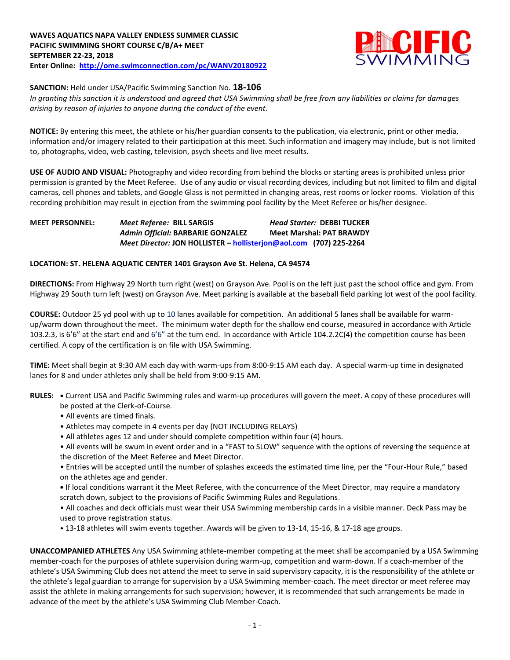

**SANCTION:** Held under USA/Pacific Swimming Sanction No. **18-106**

*In granting this sanction it is understood and agreed that USA Swimming shall be free from any liabilities or claims for damages arising by reason of injuries to anyone during the conduct of the event.* 

**NOTICE:** By entering this meet, the athlete or his/her guardian consents to the publication, via electronic, print or other media, information and/or imagery related to their participation at this meet. Such information and imagery may include, but is not limited to, photographs, video, web casting, television, psych sheets and live meet results.

**USE OF AUDIO AND VISUAL:** Photography and video recording from behind the blocks or starting areas is prohibited unless prior permission is granted by the Meet Referee. Use of any audio or visual recording devices, including but not limited to film and digital cameras, cell phones and tablets, and Google Glass is not permitted in changing areas, rest rooms or locker rooms. Violation of this recording prohibition may result in ejection from the swimming pool facility by the Meet Referee or his/her designee.

## **MEET PERSONNEL:** *Meet Referee:* **BILL SARGIS** *Head Starter:* **DEBBI TUCKER** *Admin Official:* **BARBARIE GONZALEZ Meet Marshal: PAT BRAWDY** *Meet Director:* **JON HOLLISTER – [hollisterjon@aol.com](mailto:hollisterjon@aol.com) (707) 225-2264**

## **LOCATION: ST. HELENA AQUATIC CENTER 1401 Grayson Ave St. Helena, CA 94574**

**DIRECTIONS:** From Highway 29 North turn right (west) on Grayson Ave. Pool is on the left just past the school office and gym. From Highway 29 South turn left (west) on Grayson Ave. Meet parking is available at the baseball field parking lot west of the pool facility.

**COURSE:** Outdoor 25 yd pool with up to 10 lanes available for competition. An additional 5 lanes shall be available for warmup/warm down throughout the meet. The minimum water depth for the shallow end course, measured in accordance with Article 103.2.3, is 6'6" at the start end and 6'6" at the turn end. In accordance with Article 104.2.2C(4) the competition course has been certified. A copy of the certification is on file with USA Swimming.

**TIME:** Meet shall begin at 9:30 AM each day with warm-ups from 8:00-9:15 AM each day. A special warm-up time in designated lanes for 8 and under athletes only shall be held from 9:00-9:15 AM.

- **RULES: •** Current USA and Pacific Swimming rules and warm-up procedures will govern the meet. A copy of these procedures will be posted at the Clerk-of-Course.
	- All events are timed finals.
	- Athletes may compete in 4 events per day (NOT INCLUDING RELAYS)
	- All athletes ages 12 and under should complete competition within four (4) hours.
	- All events will be swum in event order and in a "FAST to SLOW" sequence with the options of reversing the sequence at the discretion of the Meet Referee and Meet Director.
	- Entries will be accepted until the number of splashes exceeds the estimated time line, per the "Four-Hour Rule," based on the athletes age and gender.
	- **•** If local conditions warrant it the Meet Referee, with the concurrence of the Meet Director, may require a mandatory scratch down, subject to the provisions of Pacific Swimming Rules and Regulations.
	- All coaches and deck officials must wear their USA Swimming membership cards in a visible manner. Deck Pass may be used to prove registration status.
	- 13-18 athletes will swim events together. Awards will be given to 13-14, 15-16, & 17-18 age groups.

**UNACCOMPANIED ATHLETES** Any USA Swimming athlete-member competing at the meet shall be accompanied by a USA Swimming member-coach for the purposes of athlete supervision during warm-up, competition and warm-down. If a coach-member of the athlete's USA Swimming Club does not attend the meet to serve in said supervisory capacity, it is the responsibility of the athlete or the athlete's legal guardian to arrange for supervision by a USA Swimming member-coach. The meet director or meet referee may assist the athlete in making arrangements for such supervision; however, it is recommended that such arrangements be made in advance of the meet by the athlete's USA Swimming Club Member-Coach.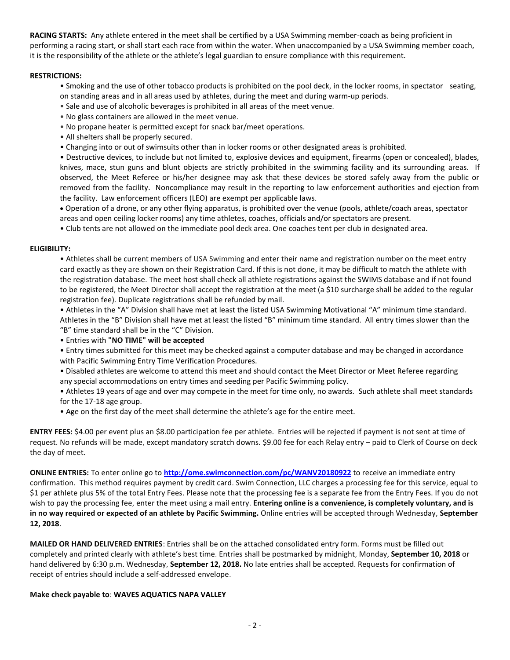**RACING STARTS:** Any athlete entered in the meet shall be certified by a USA Swimming member-coach as being proficient in performing a racing start, or shall start each race from within the water. When unaccompanied by a USA Swimming member coach, it is the responsibility of the athlete or the athlete's legal guardian to ensure compliance with this requirement.

## **RESTRICTIONS:**

- Smoking and the use of other tobacco products is prohibited on the pool deck, in the locker rooms, in spectator seating, on standing areas and in all areas used by athletes, during the meet and during warm-up periods.
- Sale and use of alcoholic beverages is prohibited in all areas of the meet venue.
- No glass containers are allowed in the meet venue.
- No propane heater is permitted except for snack bar/meet operations.
- All shelters shall be properly secured.
- Changing into or out of swimsuits other than in locker rooms or other designated areas is prohibited.

• Destructive devices, to include but not limited to, explosive devices and equipment, firearms (open or concealed), blades, knives, mace, stun guns and blunt objects are strictly prohibited in the swimming facility and its surrounding areas. If observed, the Meet Referee or his/her designee may ask that these devices be stored safely away from the public or removed from the facility. Noncompliance may result in the reporting to law enforcement authorities and ejection from the facility. Law enforcement officers (LEO) are exempt per applicable laws.

 Operation of a drone, or any other flying apparatus, is prohibited over the venue (pools, athlete/coach areas, spectator areas and open ceiling locker rooms) any time athletes, coaches, officials and/or spectators are present.

• Club tents are not allowed on the immediate pool deck area. One coaches tent per club in designated area.

## **ELIGIBILITY:**

• Athletes shall be current members of USA Swimming and enter their name and registration number on the meet entry card exactly as they are shown on their Registration Card. If this is not done, it may be difficult to match the athlete with the registration database. The meet host shall check all athlete registrations against the SWIMS database and if not found to be registered, the Meet Director shall accept the registration at the meet (a \$10 surcharge shall be added to the regular registration fee). Duplicate registrations shall be refunded by mail.

• Athletes in the "A" Division shall have met at least the listed USA Swimming Motivational "A" minimum time standard. Athletes in the "B" Division shall have met at least the listed "B" minimum time standard. All entry times slower than the "B" time standard shall be in the "C" Division.

- Entries with **"NO TIME" will be accepted**
- Entry times submitted for this meet may be checked against a computer database and may be changed in accordance with Pacific Swimming Entry Time Verification Procedures.

• Disabled athletes are welcome to attend this meet and should contact the Meet Director or Meet Referee regarding any special accommodations on entry times and seeding per Pacific Swimming policy.

- Athletes 19 years of age and over may compete in the meet for time only, no awards. Such athlete shall meet standards for the 17-18 age group.
- Age on the first day of the meet shall determine the athlete's age for the entire meet.

**ENTRY FEES:** \$4.00 per event plus an \$8.00 participation fee per athlete. Entries will be rejected if payment is not sent at time of request. No refunds will be made, except mandatory scratch downs. \$9.00 fee for each Relay entry – paid to Clerk of Course on deck the day of meet.

**ONLINE ENTRIES:** To enter online go to **<http://ome.swimconnection.com/pc/WANV20180922>** to receive an immediate entry confirmation. This method requires payment by credit card. Swim Connection, LLC charges a processing fee for this service, equal to \$1 per athlete plus 5% of the total Entry Fees. Please note that the processing fee is a separate fee from the Entry Fees. If you do not wish to pay the processing fee, enter the meet using a mail entry. **Entering online is a convenience, is completely voluntary, and is in no way required or expected of an athlete by Pacific Swimming.** Online entries will be accepted through Wednesday, **September 12, 2018**.

**MAILED OR HAND DELIVERED ENTRIES**: Entries shall be on the attached consolidated entry form. Forms must be filled out completely and printed clearly with athlete's best time. Entries shall be postmarked by midnight, Monday, **September 10, 2018** or hand delivered by 6:30 p.m. Wednesday, **September 12, 2018.** No late entries shall be accepted. Requests for confirmation of receipt of entries should include a self-addressed envelope.

### **Make check payable to**: **WAVES AQUATICS NAPA VALLEY**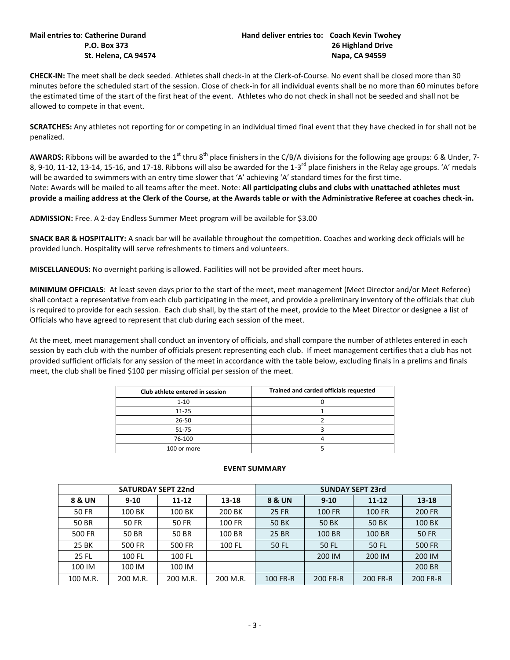**CHECK-IN:** The meet shall be deck seeded. Athletes shall check-in at the Clerk-of-Course. No event shall be closed more than 30 minutes before the scheduled start of the session. Close of check-in for all individual events shall be no more than 60 minutes before the estimated time of the start of the first heat of the event. Athletes who do not check in shall not be seeded and shall not be allowed to compete in that event.

**SCRATCHES:** Any athletes not reporting for or competing in an individual timed final event that they have checked in for shall not be penalized.

**AWARDS:** Ribbons will be awarded to the 1<sup>st</sup> thru 8<sup>th</sup> place finishers in the C/B/A divisions for the following age groups: 6 & Under, 7-8, 9-10, 11-12, 13-14, 15-16, and 17-18. Ribbons will also be awarded for the 1-3<sup>rd</sup> place finishers in the Relay age groups. 'A' medals will be awarded to swimmers with an entry time slower that 'A' achieving 'A' standard times for the first time. Note: Awards will be mailed to all teams after the meet. Note: **All participating clubs and clubs with unattached athletes must provide a mailing address at the Clerk of the Course, at the Awards table or with the Administrative Referee at coaches check-in.**

**ADMISSION:** Free. A 2-day Endless Summer Meet program will be available for \$3.00

**SNACK BAR & HOSPITALITY:** A snack bar will be available throughout the competition. Coaches and working deck officials will be provided lunch. Hospitality will serve refreshments to timers and volunteers.

**MISCELLANEOUS:** No overnight parking is allowed. Facilities will not be provided after meet hours.

**MINIMUM OFFICIALS**: At least seven days prior to the start of the meet, meet management (Meet Director and/or Meet Referee) shall contact a representative from each club participating in the meet, and provide a preliminary inventory of the officials that club is required to provide for each session. Each club shall, by the start of the meet, provide to the Meet Director or designee a list of Officials who have agreed to represent that club during each session of the meet.

At the meet, meet management shall conduct an inventory of officials, and shall compare the number of athletes entered in each session by each club with the number of officials present representing each club. If meet management certifies that a club has not provided sufficient officials for any session of the meet in accordance with the table below, excluding finals in a prelims and finals meet, the club shall be fined \$100 per missing official per session of the meet.

| Club athlete entered in session | Trained and carded officials requested |
|---------------------------------|----------------------------------------|
| $1 - 10$                        |                                        |
| $11 - 25$                       |                                        |
| 26-50                           |                                        |
| 51-75                           |                                        |
| 76-100                          |                                        |
| 100 or more                     |                                        |

|              | <b>SATURDAY SEPT 22nd</b> |           |          | <b>SUNDAY SEPT 23rd</b> |          |           |          |  |  |
|--------------|---------------------------|-----------|----------|-------------------------|----------|-----------|----------|--|--|
| 8 & UN       | $9 - 10$                  | $11 - 12$ | 13-18    | <b>8 &amp; UN</b>       | $9 - 10$ | $11 - 12$ | 13-18    |  |  |
| <b>50 FR</b> | 100 BK                    | 100 BK    | 200 BK   | 25 FR                   | 100 FR   | 100 FR    | 200 FR   |  |  |
| 50 BR        | 50 FR                     | 50 FR     | 100 FR   | 50 BK                   | 50 BK    | 50 BK     | 100 BK   |  |  |
| 500 FR       | 50 BR                     | 50 BR     | 100 BR   | 25 BR                   | 100 BR   | 100 BR    | 50 FR    |  |  |
| 25 BK        | 500 FR                    | 500 FR    | 100 FL   | 50 FL                   | 50 FL    | 50 FL     | 500 FR   |  |  |
| 25 FL        | 100 FL                    | 100 FL    |          |                         | 200 IM   | 200 IM    | 200 IM   |  |  |
| 100 IM       | 100 IM                    | 100 IM    |          |                         |          |           | 200 BR   |  |  |
| 100 M.R.     | 200 M.R.                  | 200 M.R.  | 200 M.R. | 100 FR-R                | 200 FR-R | 200 FR-R  | 200 FR-R |  |  |

## **EVENT SUMMARY**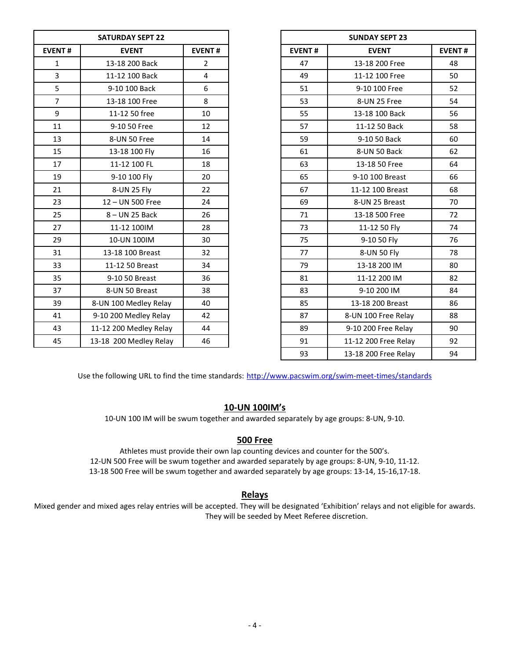| <b>EVENT#</b><br><b>EVENT#</b><br><b>EVENT#</b><br><b>EVENT</b><br>13-18 200 Back<br>$\overline{2}$<br>47<br>$\mathbf{1}$<br>3<br>11-12 100 Back<br>4<br>49<br>5<br>6<br>9-10 100 Back<br>51<br>$\overline{7}$<br>8<br>13-18 100 Free<br>53<br>9<br>10<br>55<br>11-12 50 free<br>11<br>9-10 50 Free<br>12<br>57<br>13<br>14<br>59<br>8-UN 50 Free<br>15<br>13-18 100 Fly<br>16<br>61<br>17<br>11-12 100 FL<br>18<br>63<br>19<br>9-10 100 Fly<br>65<br>20<br>67<br>21<br>8-UN 25 Fly<br>22<br>23<br>12 - UN 500 Free<br>24<br>69<br>25<br>26<br>71<br>8-UN 25 Back<br>73<br>27<br>11-12 100IM<br>28<br>75<br>29<br>10-UN 100IM<br>30<br>31<br>13-18 100 Breast<br>32<br>77<br>34<br>79<br>33<br>11-12 50 Breast<br>35<br>9-10 50 Breast<br>36<br>81<br>83<br>37<br>8-UN 50 Breast<br>38<br>39<br>8-UN 100 Medley Relay<br>40<br>85<br>41<br>87<br>9-10 200 Medley Relay<br>42<br>11-12 200 Medley Relay<br>89<br>43<br>44<br>91<br>45<br>13-18 200 Medley Relay<br>46 | <b>SATURDAY SEPT 22</b> |  |
|----------------------------------------------------------------------------------------------------------------------------------------------------------------------------------------------------------------------------------------------------------------------------------------------------------------------------------------------------------------------------------------------------------------------------------------------------------------------------------------------------------------------------------------------------------------------------------------------------------------------------------------------------------------------------------------------------------------------------------------------------------------------------------------------------------------------------------------------------------------------------------------------------------------------------------------------------------------------|-------------------------|--|
|                                                                                                                                                                                                                                                                                                                                                                                                                                                                                                                                                                                                                                                                                                                                                                                                                                                                                                                                                                      |                         |  |
|                                                                                                                                                                                                                                                                                                                                                                                                                                                                                                                                                                                                                                                                                                                                                                                                                                                                                                                                                                      |                         |  |
|                                                                                                                                                                                                                                                                                                                                                                                                                                                                                                                                                                                                                                                                                                                                                                                                                                                                                                                                                                      |                         |  |
|                                                                                                                                                                                                                                                                                                                                                                                                                                                                                                                                                                                                                                                                                                                                                                                                                                                                                                                                                                      |                         |  |
|                                                                                                                                                                                                                                                                                                                                                                                                                                                                                                                                                                                                                                                                                                                                                                                                                                                                                                                                                                      |                         |  |
|                                                                                                                                                                                                                                                                                                                                                                                                                                                                                                                                                                                                                                                                                                                                                                                                                                                                                                                                                                      |                         |  |
|                                                                                                                                                                                                                                                                                                                                                                                                                                                                                                                                                                                                                                                                                                                                                                                                                                                                                                                                                                      |                         |  |
|                                                                                                                                                                                                                                                                                                                                                                                                                                                                                                                                                                                                                                                                                                                                                                                                                                                                                                                                                                      |                         |  |
|                                                                                                                                                                                                                                                                                                                                                                                                                                                                                                                                                                                                                                                                                                                                                                                                                                                                                                                                                                      |                         |  |
|                                                                                                                                                                                                                                                                                                                                                                                                                                                                                                                                                                                                                                                                                                                                                                                                                                                                                                                                                                      |                         |  |
|                                                                                                                                                                                                                                                                                                                                                                                                                                                                                                                                                                                                                                                                                                                                                                                                                                                                                                                                                                      |                         |  |
|                                                                                                                                                                                                                                                                                                                                                                                                                                                                                                                                                                                                                                                                                                                                                                                                                                                                                                                                                                      |                         |  |
|                                                                                                                                                                                                                                                                                                                                                                                                                                                                                                                                                                                                                                                                                                                                                                                                                                                                                                                                                                      |                         |  |
|                                                                                                                                                                                                                                                                                                                                                                                                                                                                                                                                                                                                                                                                                                                                                                                                                                                                                                                                                                      |                         |  |
|                                                                                                                                                                                                                                                                                                                                                                                                                                                                                                                                                                                                                                                                                                                                                                                                                                                                                                                                                                      |                         |  |
|                                                                                                                                                                                                                                                                                                                                                                                                                                                                                                                                                                                                                                                                                                                                                                                                                                                                                                                                                                      |                         |  |
|                                                                                                                                                                                                                                                                                                                                                                                                                                                                                                                                                                                                                                                                                                                                                                                                                                                                                                                                                                      |                         |  |
|                                                                                                                                                                                                                                                                                                                                                                                                                                                                                                                                                                                                                                                                                                                                                                                                                                                                                                                                                                      |                         |  |
|                                                                                                                                                                                                                                                                                                                                                                                                                                                                                                                                                                                                                                                                                                                                                                                                                                                                                                                                                                      |                         |  |
|                                                                                                                                                                                                                                                                                                                                                                                                                                                                                                                                                                                                                                                                                                                                                                                                                                                                                                                                                                      |                         |  |
|                                                                                                                                                                                                                                                                                                                                                                                                                                                                                                                                                                                                                                                                                                                                                                                                                                                                                                                                                                      |                         |  |
|                                                                                                                                                                                                                                                                                                                                                                                                                                                                                                                                                                                                                                                                                                                                                                                                                                                                                                                                                                      |                         |  |
|                                                                                                                                                                                                                                                                                                                                                                                                                                                                                                                                                                                                                                                                                                                                                                                                                                                                                                                                                                      |                         |  |
|                                                                                                                                                                                                                                                                                                                                                                                                                                                                                                                                                                                                                                                                                                                                                                                                                                                                                                                                                                      |                         |  |

|                         | <b>SATURDAY SEPT 22</b> |                | <b>SUNDAY SEPT 23</b> |                      |               |
|-------------------------|-------------------------|----------------|-----------------------|----------------------|---------------|
| <b>EVENT#</b>           | <b>EVENT</b>            | <b>EVENT#</b>  | <b>EVENT#</b>         | <b>EVENT</b>         | <b>EVENT#</b> |
| $\mathbf{1}$            | 13-18 200 Back          | $\overline{2}$ | 47                    | 13-18 200 Free       | 48            |
| $\overline{\mathbf{3}}$ | 11-12 100 Back          | $\overline{4}$ | 49                    | 11-12 100 Free       | 50            |
| 5                       | 9-10 100 Back           | 6              | 51                    | 9-10 100 Free        | 52            |
| $\overline{7}$          | 13-18 100 Free          | 8              | 53                    | 8-UN 25 Free         | 54            |
| 9                       | 11-12 50 free           | 10             | 55                    | 13-18 100 Back       | 56            |
| 11                      | 9-10 50 Free            | 12             | 57                    | 11-12 50 Back        | 58            |
| 13                      | 8-UN 50 Free            | 14             | 59                    | 9-10 50 Back         | 60            |
| 15                      | 13-18 100 Fly           | 16             | 61                    | 8-UN 50 Back         | 62            |
| 17                      | 11-12 100 FL            | 18             | 63                    | 13-18 50 Free        | 64            |
| 19                      | 9-10 100 Fly            | 20             | 65                    | 9-10 100 Breast      | 66            |
| 21                      | 8-UN 25 Fly             | 22             | 67                    | 11-12 100 Breast     | 68            |
| 23                      | 12 - UN 500 Free        | 24             | 69                    | 8-UN 25 Breast       | 70            |
| 25                      | 8-UN 25 Back            | 26             | 71                    | 13-18 500 Free       | 72            |
| 27                      | 11-12 100IM             | 28             | 73                    | 11-12 50 Fly         | 74            |
| 29                      | 10-UN 100IM             | 30             | 75                    | 9-10 50 Fly          | 76            |
| 31                      | 13-18 100 Breast        | 32             | 77                    | 8-UN 50 Fly          | 78            |
| 33                      | 11-12 50 Breast         | 34             | 79                    | 13-18 200 IM         | 80            |
| 35                      | 9-10 50 Breast          | 36             | 81                    | 11-12 200 IM         | 82            |
| 37                      | 8-UN 50 Breast          | 38             | 83                    | 9-10 200 IM          | 84            |
| 39                      | 8-UN 100 Medley Relay   | 40             | 85                    | 13-18 200 Breast     | 86            |
| 41                      | 9-10 200 Medley Relay   | 42             | 87                    | 8-UN 100 Free Relay  | 88            |
| 43                      | 11-12 200 Medley Relay  | 44             | 89                    | 9-10 200 Free Relay  | 90            |
| 45                      | 13-18 200 Medley Relay  | 46             | 91                    | 11-12 200 Free Relay | 92            |
|                         |                         |                | 93                    | 13-18 200 Free Relay | 94            |

Use the following URL to find the time standards: <http://www.pacswim.org/swim-meet-times/standards>

## **10-UN 100IM's**

10-UN 100 IM will be swum together and awarded separately by age groups: 8-UN, 9-10.

## **500 Free**

Athletes must provide their own lap counting devices and counter for the 500's. 12-UN 500 Free will be swum together and awarded separately by age groups: 8-UN, 9-10, 11-12. 13-18 500 Free will be swum together and awarded separately by age groups: 13-14, 15-16,17-18.

# **Relays**

Mixed gender and mixed ages relay entries will be accepted. They will be designated 'Exhibition' relays and not eligible for awards. They will be seeded by Meet Referee discretion.